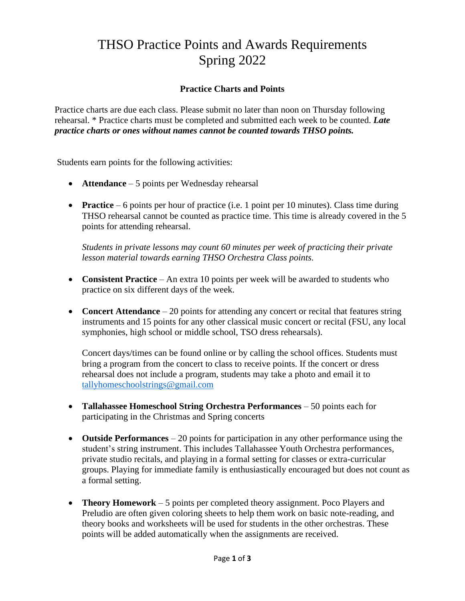# THSO Practice Points and Awards Requirements Spring 2022

# **Practice Charts and Points**

Practice charts are due each class. Please submit no later than noon on Thursday following rehearsal. \* Practice charts must be completed and submitted each week to be counted. *Late practice charts or ones without names cannot be counted towards THSO points.*

Students earn points for the following activities:

- **Attendance** 5 points per Wednesday rehearsal
- **Practice** 6 points per hour of practice (i.e. 1 point per 10 minutes). Class time during THSO rehearsal cannot be counted as practice time. This time is already covered in the 5 points for attending rehearsal.

*Students in private lessons may count 60 minutes per week of practicing their private lesson material towards earning THSO Orchestra Class points.*

- **Consistent Practice** An extra 10 points per week will be awarded to students who practice on six different days of the week.
- **Concert Attendance** 20 points for attending any concert or recital that features string instruments and 15 points for any other classical music concert or recital (FSU, any local symphonies, high school or middle school, TSO dress rehearsals).

Concert days/times can be found online or by calling the school offices. Students must bring a program from the concert to class to receive points. If the concert or dress rehearsal does not include a program, students may take a photo and email it to [tallyhomeschoolstrings@gmail.com](mailto:tallyhomeschoolstrings@gmail.com)

- **Tallahassee Homeschool String Orchestra Performances**  50 points each for participating in the Christmas and Spring concerts
- **Outside Performances**  20 points for participation in any other performance using the student's string instrument. This includes Tallahassee Youth Orchestra performances, private studio recitals, and playing in a formal setting for classes or extra-curricular groups. Playing for immediate family is enthusiastically encouraged but does not count as a formal setting.
- **Theory Homework** 5 points per completed theory assignment. Poco Players and Preludio are often given coloring sheets to help them work on basic note-reading, and theory books and worksheets will be used for students in the other orchestras. These points will be added automatically when the assignments are received.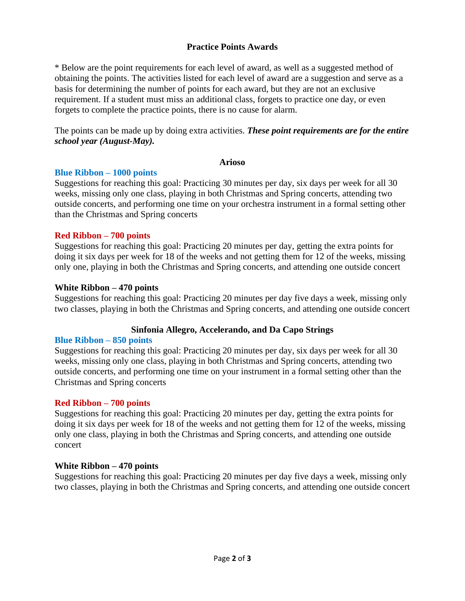## **Practice Points Awards**

\* Below are the point requirements for each level of award, as well as a suggested method of obtaining the points. The activities listed for each level of award are a suggestion and serve as a basis for determining the number of points for each award, but they are not an exclusive requirement. If a student must miss an additional class, forgets to practice one day, or even forgets to complete the practice points, there is no cause for alarm.

The points can be made up by doing extra activities. *These point requirements are for the entire school year (August-May).*

#### **Arioso**

## **Blue Ribbon – 1000 points**

Suggestions for reaching this goal: Practicing 30 minutes per day, six days per week for all 30 weeks, missing only one class, playing in both Christmas and Spring concerts, attending two outside concerts, and performing one time on your orchestra instrument in a formal setting other than the Christmas and Spring concerts

## **Red Ribbon – 700 points**

Suggestions for reaching this goal: Practicing 20 minutes per day, getting the extra points for doing it six days per week for 18 of the weeks and not getting them for 12 of the weeks, missing only one, playing in both the Christmas and Spring concerts, and attending one outside concert

#### **White Ribbon – 470 points**

Suggestions for reaching this goal: Practicing 20 minutes per day five days a week, missing only two classes, playing in both the Christmas and Spring concerts, and attending one outside concert

## **Sinfonia Allegro, Accelerando, and Da Capo Strings**

## **Blue Ribbon – 850 points**

Suggestions for reaching this goal: Practicing 20 minutes per day, six days per week for all 30 weeks, missing only one class, playing in both Christmas and Spring concerts, attending two outside concerts, and performing one time on your instrument in a formal setting other than the Christmas and Spring concerts

## **Red Ribbon – 700 points**

Suggestions for reaching this goal: Practicing 20 minutes per day, getting the extra points for doing it six days per week for 18 of the weeks and not getting them for 12 of the weeks, missing only one class, playing in both the Christmas and Spring concerts, and attending one outside concert

#### **White Ribbon – 470 points**

Suggestions for reaching this goal: Practicing 20 minutes per day five days a week, missing only two classes, playing in both the Christmas and Spring concerts, and attending one outside concert